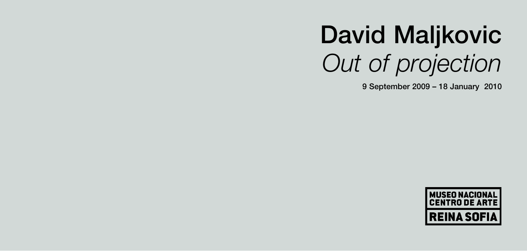# **David Maljkovic** *Out of projection*

**9 September 2009 – 18 January 2010**

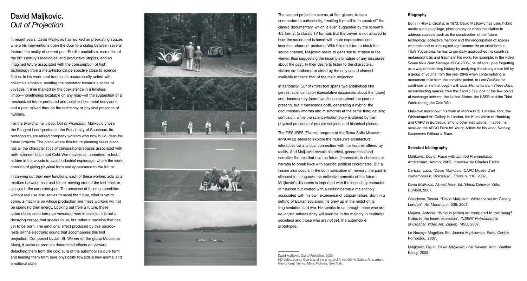# **David Maljkovic.** *Out of Projection*

In recent years, David Maljkovic has worked on preexisting spaces where his interventions open the door to a dialog between several factors: the reality of current post-Fordist capitalism, memories of the 20<sup>th</sup> century's ideological and productive utopias, and an imagined future associated with the consumption of high technology from a meta-historical perspective close to science fiction. In his work, oral tradition is paradoxically united with collective amnesia, pointing the spectator towards a series of voyages in time marked by the coexistence in a timeless limbo—nonetheless locatable on any map—of the suggestion of a mechanized future perfected and polished like metal bodywork, and a past relived through the testimony or physical presence of humans.

For the two-channel video, *Out of Projection,* Maljkovic chose the Peugeot headquarters in the French city of Souchaux. Its protagonists are retired company workers who now build ideas for future projects. The place where this future planning takes place has all the characteristics of conspiratorial spaces associated with both science fiction and Cold-War movies: an unmarked redoubt hidden in the woods to avoid industrial espionage, where the work consists of giving physical form and appearance to the future.

In carrying out their new functions, each of these workers acts as a medium between past and future, moving around the test track or alongside the car prototypes. The presence of these automobiles without real use also serves to recall the future, what is yet to come, a machine on whose production line these workers will not be spending their energy. Looking out from a future, these automobiles are a baroque *memento mori* in reverse: it is not a decaying corpse that speaks to us, but rather a machine that has yet to be born. The emotional effect produced by this paradox rests on the electronic sound that accompanies this first projection. Composed by Jan St. Werner (of the group Mouse on Mars), it seeks to produce determined effects on viewers, detaching them from the cold aura of the automobile's pure form and leading them from pure physicality towards a new mental and emotional state.



The second projection seems, at first glance, to be a concession to authenticity, "making it possible to speak of" the classic documentary, which is even suggested by the screen's 4/3 format (a classic TV format). But the viewer is not allowed to hear the sound and is faced with mute expressions and less-than-eloquent postures. With this decision to block the sound channel. Malikovic seeks to generate frustration in the viewer, thus suggesting the incomplete nature of any discourse about the past. In their desire to listen to the characters, visitors are bothered or aided by the only sound channel available to them: that of the main projection.

In its totality, *Out of Projection* spans two antithetical film genres: science fiction (speculative discourses about the future) and documentary (narrative discourses about the past or present), but it transcends both, generating a hybrid: the documentary informs and misinforms at the same time, causing confusion, while the science-fiction story is altered by the physical presence of precise subjects and historical places.

The FISSURES (*Fisuras*) program at the Reina Sofía Museum (MNCARS) seeks to explore the museum's architectural interstices via a critical connection with the fissures offered by reality. And Maljkovic reveals historical, generational and narrative fissures that use the future (impossible to chronicle or narrate) to break links with specific political coordinates. But a fissure also occurs in the communication of memory; the past is silenced to inaugurate the collective amnesia of the future. Maljkovic's discourse is imprinted with the incendiary character of futurism but coated with a certain baroque melancholy associated with his own experience of utopian failure. Born in a setting of Balkan socialism, he grew up in the midst of its fragmentation and war. He speaks to us through those who are *no longer,* retirees (they will soon be in the majority in capitalist societies) and those who are *not yet,* the automobile prototypes.

David Maljkovic, *Out of Projection*, 2009, HD Video, sound. Courtesy of the artist and Annet Gelink Gallery, Amsterdam, Georg Kargl, Vienna, Metro Pictures, New York.

### **Biography**

Born in Rijeka, Croatia, in 1973, David Maljkovic has used hybrid media such as collage, photography or video installation to address subjects such as the construction of the future, technology, collective memory and the reoccupation of spaces with historical or ideological significance. As an artist born in Tito's Yugoslavia, he has tangentially approached his country's metamorphosis and trauma in his work. For example: in the video, *Scene for a New Heritage* (2004-2006), he reflects upon forgetting as a way of rethinking history by analyzing the strangeness felt by a group of youths from the year 2045 when contemplating a monument-relic from the socialist period. In *Lost Pavillion* he continues a line that began with *Lost Memories from These Days,* reconstructing spaces from the Zagreb Fair, one of the few points of exchange between the United States, the USSR and the Third World during the Cold War.

Maljkovic has shown his work at MoMA's P.S.1 in New York, the Whitechapel Art Gallery in London, the Kunstverein of Hamburg and CAPC in Bordeaux, among other institutions. In 2009, he received the ARCO Prize for Young Artists for his work, *Nothing Disappears Without a Trace.*

## **Selected bibliography**

Maljkovic, David. *Place with Limited Premeditation* , Amsterdam, Artimo, 2005. Interview by Charles Esche.

Cerizza, Luca. "David Maljkovic: CAPC Musée d'art contemporain, Bordeaux", *Frieze* n. 110, 2007.

*David Maljkovic: Almost Here*. Ed. Yilmaz Dziewior, Köln, DuMont, 2007.

Gleadowe, Teresa. "David Maljkovic: Whitechapel Art Gallery, London", *Art Monthly*, n. 306, 2007.

Majaca, Antonia *.* "What is (video) art compared to this being? Notes to the Insert exhibition"*, INSERT Retrospective of Croatian Video Art*. Zagreb, MSU, 2007.

Le Nouage Magellan. Ed. Joanna Mytkowska. Paris, Centre Pompidou, 2007.

Maljkovic, David. *David Maljkovic: Lost Review.* Köln, Walther König, 2008.